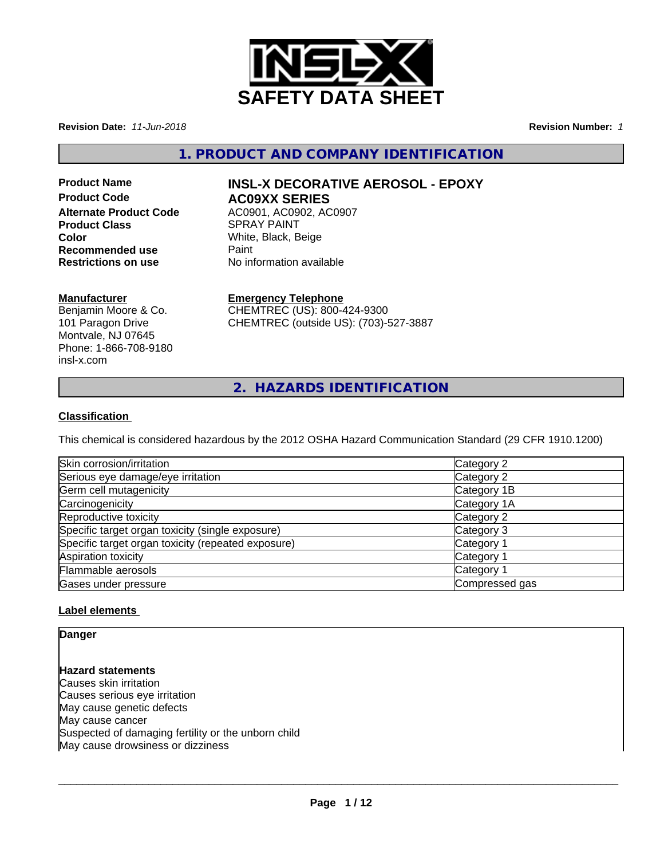

**Revision Date:** *11-Jun-2018* **Revision Number:** *1*

**1. PRODUCT AND COMPANY IDENTIFICATION**

# **Product Code 6 AC09XX SERIES Product Class SPRAY PAINT Color**<br> **Recommended use**<br> **Recommended use**<br> **Paint Recommended use<br>Restrictions on use**

# **Product Name INSL-X DECORATIVE AEROSOL - EPOXY**

**Alternate Product Code** AC0901, AC0902, AC0907 **No information available** 

# **Manufacturer**

Benjamin Moore & Co. 101 Paragon Drive Montvale, NJ 07645 Phone: 1-866-708-9180 insl-x.com

# **Emergency Telephone**

CHEMTREC (US): 800-424-9300 CHEMTREC (outside US): (703)-527-3887

**2. HAZARDS IDENTIFICATION**

# **Classification**

This chemical is considered hazardous by the 2012 OSHA Hazard Communication Standard (29 CFR 1910.1200)

| Skin corrosion/irritation                          | Category 2            |
|----------------------------------------------------|-----------------------|
| Serious eye damage/eye irritation                  | Category 2            |
| Germ cell mutagenicity                             | Category 1B           |
| Carcinogenicity                                    | Category 1A           |
| Reproductive toxicity                              | Category 2            |
| Specific target organ toxicity (single exposure)   | Category 3            |
| Specific target organ toxicity (repeated exposure) | Category <sup>2</sup> |
| Aspiration toxicity                                | Category <sup>2</sup> |
| Flammable aerosols                                 | Category <sup>2</sup> |
| Gases under pressure                               | Compressed gas        |

### **Label elements**

**Danger**

**Hazard statements** Causes skin irritation Causes serious eye irritation May cause genetic defects May cause cancer Suspected of damaging fertility or the unborn child May cause drowsiness or dizziness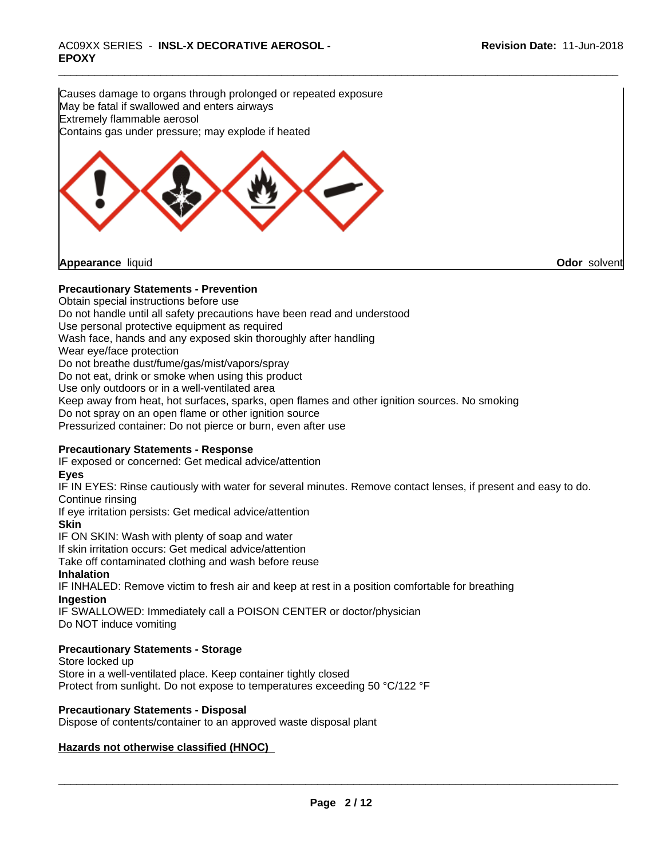Causes damage to organs through prolonged or repeated exposure May be fatal if swallowed and enters airways Extremely flammable aerosol Contains gas under pressure; may explode if heated



**Appearance** liquid **Odor** solvent

### **Precautionary Statements - Prevention**

Obtain special instructions before use Do not handle until all safety precautions have been read and understood Use personal protective equipment as required Wash face, hands and any exposed skin thoroughly after handling Wear eye/face protection Do not breathe dust/fume/gas/mist/vapors/spray Do not eat, drink or smoke when using this product Use only outdoors or in a well-ventilated area Keep away from heat, hot surfaces, sparks, open flames and other ignition sources. No smoking Do not spray on an open flame or other ignition source Pressurized container: Do not pierce or burn, even after use

#### **Precautionary Statements - Response**

IF exposed or concerned: Get medical advice/attention

#### **Eyes**

IF IN EYES: Rinse cautiously with water for several minutes. Remove contact lenses, if present and easy to do. Continue rinsing

If eye irritation persists: Get medical advice/attention

**Skin**

IF ON SKIN: Wash with plenty of soap and water

If skin irritation occurs: Get medical advice/attention

Take off contaminated clothing and wash before reuse

### **Inhalation**

IF INHALED: Remove victim to fresh air and keep at rest in a position comfortable for breathing **Ingestion**

IF SWALLOWED: Immediately call a POISON CENTER or doctor/physician Do NOT induce vomiting

### **Precautionary Statements - Storage**

Store locked up Store in a well-ventilated place. Keep container tightly closed Protect from sunlight. Do not expose to temperatures exceeding 50 °C/122 °F

### **Precautionary Statements - Disposal**

Dispose of contents/container to an approved waste disposal plant

### **Hazards not otherwise classified (HNOC)**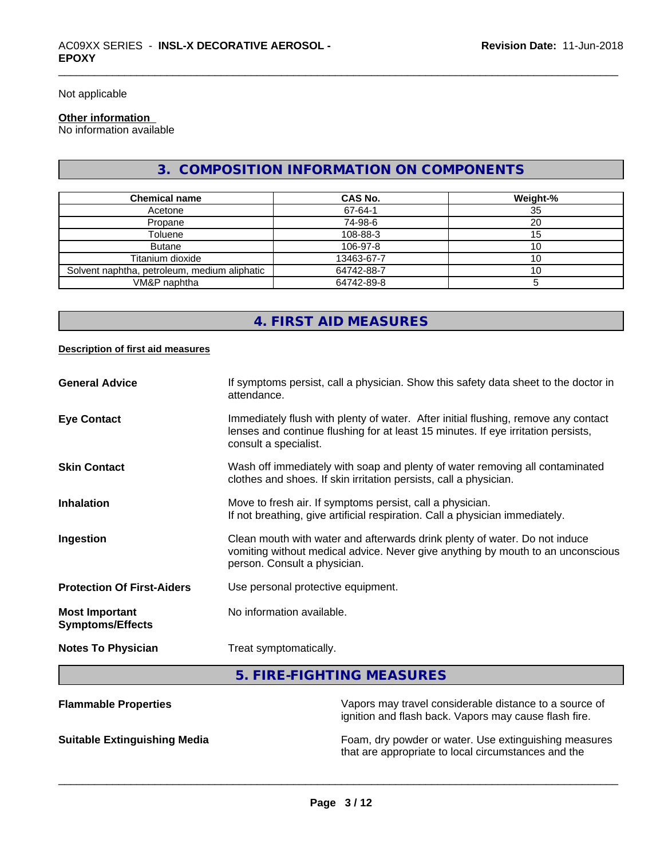Not applicable

#### **Other information**

No information available

# **3. COMPOSITION INFORMATION ON COMPONENTS**

| <b>Chemical name</b>                         | CAS No.    | Weight-% |
|----------------------------------------------|------------|----------|
| Acetone                                      | 67-64-1    | 35       |
| Propane                                      | 74-98-6    | 20       |
| Toluene                                      | 108-88-3   | l 5      |
| <b>Butane</b>                                | 106-97-8   |          |
| Titanium dioxide                             | 13463-67-7 | 10       |
| Solvent naphtha, petroleum, medium aliphatic | 64742-88-7 |          |
| VM&P naphtha                                 | 64742-89-8 |          |

# **4. FIRST AID MEASURES**

#### **Description of first aid measures**

| <b>Flammable Properties</b>                      | Vapors may travel considerable distance to a source of                                                                                                                                           |
|--------------------------------------------------|--------------------------------------------------------------------------------------------------------------------------------------------------------------------------------------------------|
|                                                  | 5. FIRE-FIGHTING MEASURES                                                                                                                                                                        |
| <b>Notes To Physician</b>                        | Treat symptomatically.                                                                                                                                                                           |
| <b>Most Important</b><br><b>Symptoms/Effects</b> | No information available.                                                                                                                                                                        |
| <b>Protection Of First-Aiders</b>                | Use personal protective equipment.                                                                                                                                                               |
| Ingestion                                        | Clean mouth with water and afterwards drink plenty of water. Do not induce<br>vomiting without medical advice. Never give anything by mouth to an unconscious<br>person. Consult a physician.    |
| <b>Inhalation</b>                                | Move to fresh air. If symptoms persist, call a physician.<br>If not breathing, give artificial respiration. Call a physician immediately.                                                        |
| <b>Skin Contact</b>                              | Wash off immediately with soap and plenty of water removing all contaminated<br>clothes and shoes. If skin irritation persists, call a physician.                                                |
| <b>Eye Contact</b>                               | Immediately flush with plenty of water. After initial flushing, remove any contact<br>lenses and continue flushing for at least 15 minutes. If eye irritation persists,<br>consult a specialist. |
| <b>General Advice</b>                            | If symptoms persist, call a physician. Show this safety data sheet to the doctor in<br>attendance.                                                                                               |

ignition and flash back. Vapors may cause flash fire.

**Suitable Extinguishing Media** Foam, dry powder or water. Use extinguishing measures that are appropriate to local circumstances and the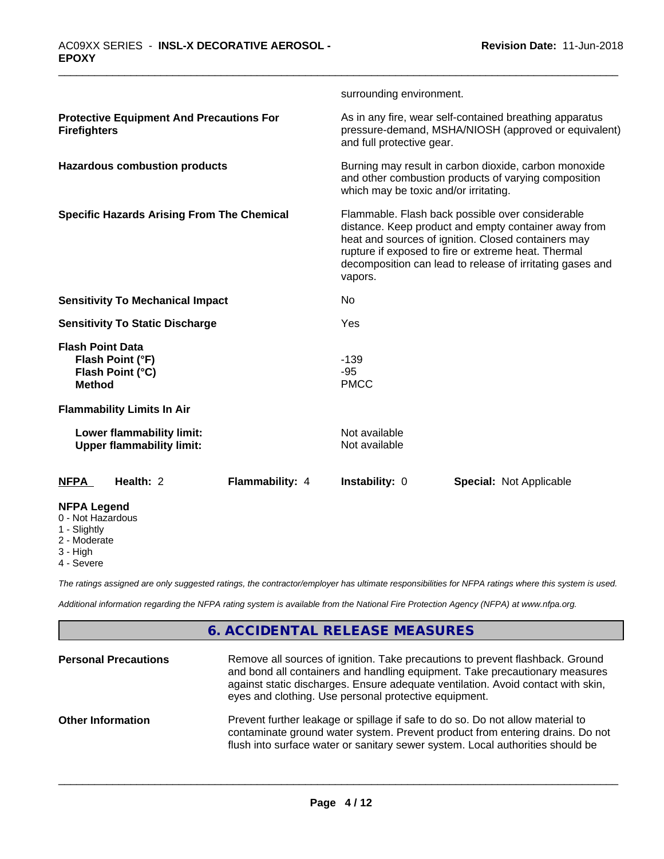|                                                                                  |                 | surrounding environment.                                                                                                                                                                                                                                                                       |                                |  |
|----------------------------------------------------------------------------------|-----------------|------------------------------------------------------------------------------------------------------------------------------------------------------------------------------------------------------------------------------------------------------------------------------------------------|--------------------------------|--|
| <b>Protective Equipment And Precautions For</b><br><b>Firefighters</b>           |                 | As in any fire, wear self-contained breathing apparatus<br>pressure-demand, MSHA/NIOSH (approved or equivalent)<br>and full protective gear.                                                                                                                                                   |                                |  |
| <b>Hazardous combustion products</b>                                             |                 | Burning may result in carbon dioxide, carbon monoxide<br>and other combustion products of varying composition<br>which may be toxic and/or irritating.                                                                                                                                         |                                |  |
| <b>Specific Hazards Arising From The Chemical</b>                                |                 | Flammable. Flash back possible over considerable<br>distance. Keep product and empty container away from<br>heat and sources of ignition. Closed containers may<br>rupture if exposed to fire or extreme heat. Thermal<br>decomposition can lead to release of irritating gases and<br>vapors. |                                |  |
| <b>Sensitivity To Mechanical Impact</b>                                          |                 | No                                                                                                                                                                                                                                                                                             |                                |  |
| <b>Sensitivity To Static Discharge</b>                                           |                 | Yes                                                                                                                                                                                                                                                                                            |                                |  |
| <b>Flash Point Data</b><br>Flash Point (°F)<br>Flash Point (°C)<br><b>Method</b> |                 | $-139$<br>$-95$<br><b>PMCC</b>                                                                                                                                                                                                                                                                 |                                |  |
| <b>Flammability Limits In Air</b>                                                |                 |                                                                                                                                                                                                                                                                                                |                                |  |
| Lower flammability limit:<br><b>Upper flammability limit:</b>                    |                 | Not available<br>Not available                                                                                                                                                                                                                                                                 |                                |  |
| Health: 2<br><b>NFPA</b>                                                         | Flammability: 4 | <b>Instability: 0</b>                                                                                                                                                                                                                                                                          | <b>Special: Not Applicable</b> |  |
| <b>NFPA Legend</b><br>0 - Not Hazardous<br>1 - Slightly<br>2 Moderate            |                 |                                                                                                                                                                                                                                                                                                |                                |  |

2 - Moderate

3 - High

4 - Severe

*The ratings assigned are only suggested ratings, the contractor/employer has ultimate responsibilities for NFPA ratings where this system is used.*

*Additional information regarding the NFPA rating system is available from the National Fire Protection Agency (NFPA) at www.nfpa.org.*

# **6. ACCIDENTAL RELEASE MEASURES**

| <b>Personal Precautions</b> | Remove all sources of ignition. Take precautions to prevent flashback. Ground<br>and bond all containers and handling equipment. Take precautionary measures<br>against static discharges. Ensure adequate ventilation. Avoid contact with skin,<br>eyes and clothing. Use personal protective equipment. |
|-----------------------------|-----------------------------------------------------------------------------------------------------------------------------------------------------------------------------------------------------------------------------------------------------------------------------------------------------------|
| <b>Other Information</b>    | Prevent further leakage or spillage if safe to do so. Do not allow material to<br>contaminate ground water system. Prevent product from entering drains. Do not<br>flush into surface water or sanitary sewer system. Local authorities should be                                                         |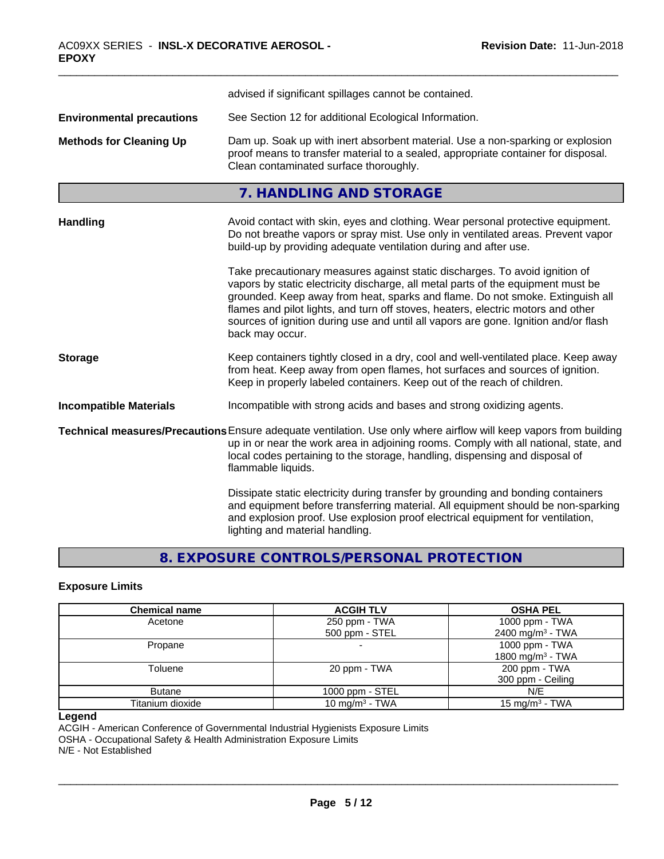|                                  | advised if significant spillages cannot be contained.                                                                                                                                                                                                                                                                                                                                                                                          |  |  |
|----------------------------------|------------------------------------------------------------------------------------------------------------------------------------------------------------------------------------------------------------------------------------------------------------------------------------------------------------------------------------------------------------------------------------------------------------------------------------------------|--|--|
| <b>Environmental precautions</b> | See Section 12 for additional Ecological Information.                                                                                                                                                                                                                                                                                                                                                                                          |  |  |
| <b>Methods for Cleaning Up</b>   | Dam up. Soak up with inert absorbent material. Use a non-sparking or explosion<br>proof means to transfer material to a sealed, appropriate container for disposal.<br>Clean contaminated surface thoroughly.                                                                                                                                                                                                                                  |  |  |
|                                  | 7. HANDLING AND STORAGE                                                                                                                                                                                                                                                                                                                                                                                                                        |  |  |
| <b>Handling</b>                  | Avoid contact with skin, eyes and clothing. Wear personal protective equipment.<br>Do not breathe vapors or spray mist. Use only in ventilated areas. Prevent vapor<br>build-up by providing adequate ventilation during and after use.                                                                                                                                                                                                        |  |  |
|                                  | Take precautionary measures against static discharges. To avoid ignition of<br>vapors by static electricity discharge, all metal parts of the equipment must be<br>grounded. Keep away from heat, sparks and flame. Do not smoke. Extinguish all<br>flames and pilot lights, and turn off stoves, heaters, electric motors and other<br>sources of ignition during use and until all vapors are gone. Ignition and/or flash<br>back may occur. |  |  |
| <b>Storage</b>                   | Keep containers tightly closed in a dry, cool and well-ventilated place. Keep away<br>from heat. Keep away from open flames, hot surfaces and sources of ignition.<br>Keep in properly labeled containers. Keep out of the reach of children.                                                                                                                                                                                                  |  |  |
| <b>Incompatible Materials</b>    | Incompatible with strong acids and bases and strong oxidizing agents.                                                                                                                                                                                                                                                                                                                                                                          |  |  |
|                                  | Technical measures/Precautions Ensure adequate ventilation. Use only where airflow will keep vapors from building<br>up in or near the work area in adjoining rooms. Comply with all national, state, and<br>local codes pertaining to the storage, handling, dispensing and disposal of<br>flammable liquids.                                                                                                                                 |  |  |
|                                  | Dissipate static electricity during transfer by grounding and bonding containers<br>and equipment before transferring material. All equipment should be non-sparking<br>and explosion proof. Use explosion proof electrical equipment for ventilation,<br>lighting and material handling.                                                                                                                                                      |  |  |

# **8. EXPOSURE CONTROLS/PERSONAL PROTECTION**

### **Exposure Limits**

| <b>Chemical name</b> | <b>ACGIH TLV</b>         | <b>OSHA PEL</b>              |
|----------------------|--------------------------|------------------------------|
| Acetone              | 250 ppm - TWA            | 1000 ppm - TWA               |
|                      | 500 ppm - STEL           | 2400 mg/m <sup>3</sup> - TWA |
| Propane              | $\overline{\phantom{0}}$ | 1000 ppm - TWA               |
|                      |                          | 1800 mg/m <sup>3</sup> - TWA |
| Toluene              | 20 ppm - TWA             | 200 ppm - TWA                |
|                      |                          | 300 ppm - Ceiling            |
| <b>Butane</b>        | $1000$ ppm $-$ STEL      | N/E                          |
| Titanium dioxide     | 10 mg/m $3$ - TWA        | $15 \text{ mg/m}^3$ - TWA    |

#### **Legend**

ACGIH - American Conference of Governmental Industrial Hygienists Exposure Limits

OSHA - Occupational Safety & Health Administration Exposure Limits

N/E - Not Established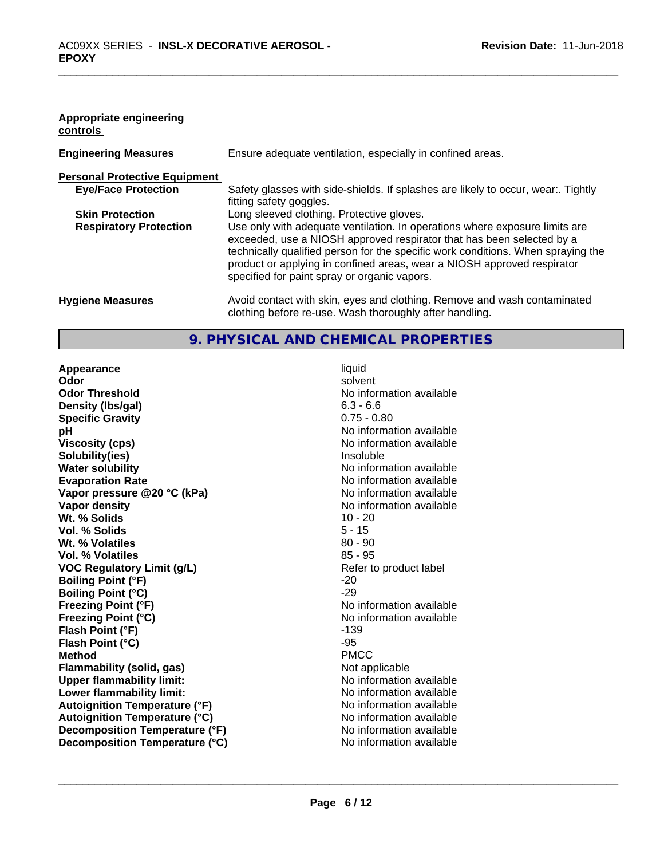#### **Appropriate engineering controls**

| <b>Engineering Measures</b>          | Ensure adequate ventilation, especially in confined areas.                                                                                                                                                                                                                                                                                                          |
|--------------------------------------|---------------------------------------------------------------------------------------------------------------------------------------------------------------------------------------------------------------------------------------------------------------------------------------------------------------------------------------------------------------------|
| <b>Personal Protective Equipment</b> |                                                                                                                                                                                                                                                                                                                                                                     |
| <b>Eye/Face Protection</b>           | Safety glasses with side-shields. If splashes are likely to occur, wear:. Tightly<br>fitting safety goggles.                                                                                                                                                                                                                                                        |
| <b>Skin Protection</b>               | Long sleeved clothing. Protective gloves.                                                                                                                                                                                                                                                                                                                           |
| <b>Respiratory Protection</b>        | Use only with adequate ventilation. In operations where exposure limits are<br>exceeded, use a NIOSH approved respirator that has been selected by a<br>technically qualified person for the specific work conditions. When spraying the<br>product or applying in confined areas, wear a NIOSH approved respirator<br>specified for paint spray or organic vapors. |
| <b>Hygiene Measures</b>              | Avoid contact with skin, eyes and clothing. Remove and wash contaminated<br>clothing before re-use. Wash thoroughly after handling.                                                                                                                                                                                                                                 |

# **9. PHYSICAL AND CHEMICAL PROPERTIES**

**Appearance** liquid **Odor** solvent **Odor Threshold No information available No information available Density (lbs/gal)** 6.3 - 6.6 **Specific Gravity** 0.75 - 0.80 **pH** No information available **Viscosity (cps)** No information available **Solubility(ies)** Insoluble **Water solubility Water solubility Water solubility Water solubility Water No** information available **Evaporation Rate No information available No information available Vapor pressure @20 °C (kPa)** No information available **Vapor density No information available No information available Wt. % Solids** 10 - 20<br> **Vol. % Solids** 5 - 15 **Vol. % Solids** 5 - 15 **Wt. % Volatiles Vol. % Volatiles** 85 - 95 **VOC** Regulatory Limit (g/L) Refer to product label **Boiling Point (°F)** -20 **Boiling Point (°C)** -29<br> **Preezing Point (°F)** -29<br>
No **Freezing Point (°C)** The Company of the Monometer of Noinformation available **Flash Point (°F)** -139 **Flash Point (°C)** -95 **Method** PMCC **Flammability (solid, gas)**<br> **Commability limit:**<br>
Unity and the Montenation available **Upper flammability limit:**<br> **Lower flammability limit:** No information available<br>
No information available **Lower flammability limit: Autoignition Temperature (°F)**<br> **Autoignition Temperature (°C)** No information available **Autoignition Temperature (°C) Decomposition Temperature (°F)** No information available **Decomposition Temperature (°C)** No information available

**Freezing Point (°F)** No information available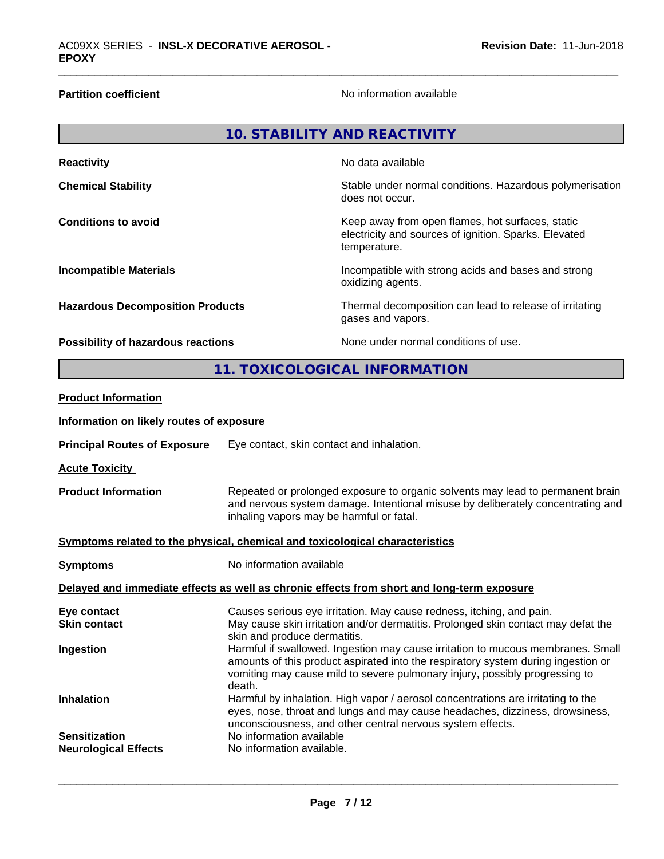**Partition coefficient**No information available

| <b>10. STABILITY AND REACTIVITY</b>      |                                                                                                                                                                                                               |                                                                                                                           |  |
|------------------------------------------|---------------------------------------------------------------------------------------------------------------------------------------------------------------------------------------------------------------|---------------------------------------------------------------------------------------------------------------------------|--|
| <b>Reactivity</b>                        |                                                                                                                                                                                                               | No data available                                                                                                         |  |
| <b>Chemical Stability</b>                |                                                                                                                                                                                                               | Stable under normal conditions. Hazardous polymerisation<br>does not occur.                                               |  |
| <b>Conditions to avoid</b>               |                                                                                                                                                                                                               | Keep away from open flames, hot surfaces, static<br>electricity and sources of ignition. Sparks. Elevated<br>temperature. |  |
| <b>Incompatible Materials</b>            |                                                                                                                                                                                                               | Incompatible with strong acids and bases and strong<br>oxidizing agents.                                                  |  |
| <b>Hazardous Decomposition Products</b>  |                                                                                                                                                                                                               | Thermal decomposition can lead to release of irritating<br>gases and vapors.                                              |  |
| Possibility of hazardous reactions       |                                                                                                                                                                                                               | None under normal conditions of use.                                                                                      |  |
|                                          |                                                                                                                                                                                                               | 11. TOXICOLOGICAL INFORMATION                                                                                             |  |
| <b>Product Information</b>               |                                                                                                                                                                                                               |                                                                                                                           |  |
| Information on likely routes of exposure |                                                                                                                                                                                                               |                                                                                                                           |  |
| <b>Principal Routes of Exposure</b>      |                                                                                                                                                                                                               | Eye contact, skin contact and inhalation.                                                                                 |  |
| <b>Acute Toxicity</b>                    |                                                                                                                                                                                                               |                                                                                                                           |  |
| <b>Product Information</b>               | Repeated or prolonged exposure to organic solvents may lead to permanent brain<br>and nervous system damage. Intentional misuse by deliberately concentrating and<br>inhaling vapors may be harmful or fatal. |                                                                                                                           |  |

#### **Symptoms related to the physical,chemical and toxicological characteristics**

| No information available<br><b>Symptoms</b>                                                                  |                                                                                                                                                                                                                                                     |
|--------------------------------------------------------------------------------------------------------------|-----------------------------------------------------------------------------------------------------------------------------------------------------------------------------------------------------------------------------------------------------|
|                                                                                                              | Delayed and immediate effects as well as chronic effects from short and long-term exposure                                                                                                                                                          |
| Eye contact                                                                                                  | Causes serious eye irritation. May cause redness, itching, and pain.                                                                                                                                                                                |
| <b>Skin contact</b>                                                                                          | May cause skin irritation and/or dermatitis. Prolonged skin contact may defat the<br>skin and produce dermatitis.                                                                                                                                   |
| Ingestion<br>death.                                                                                          | Harmful if swallowed. Ingestion may cause irritation to mucous membranes. Small<br>amounts of this product aspirated into the respiratory system during ingestion or<br>vomiting may cause mild to severe pulmonary injury, possibly progressing to |
| <b>Inhalation</b>                                                                                            | Harmful by inhalation. High vapor / aerosol concentrations are irritating to the<br>eyes, nose, throat and lungs and may cause headaches, dizziness, drowsiness,<br>unconsciousness, and other central nervous system effects.                      |
| No information available<br><b>Sensitization</b><br>No information available.<br><b>Neurological Effects</b> |                                                                                                                                                                                                                                                     |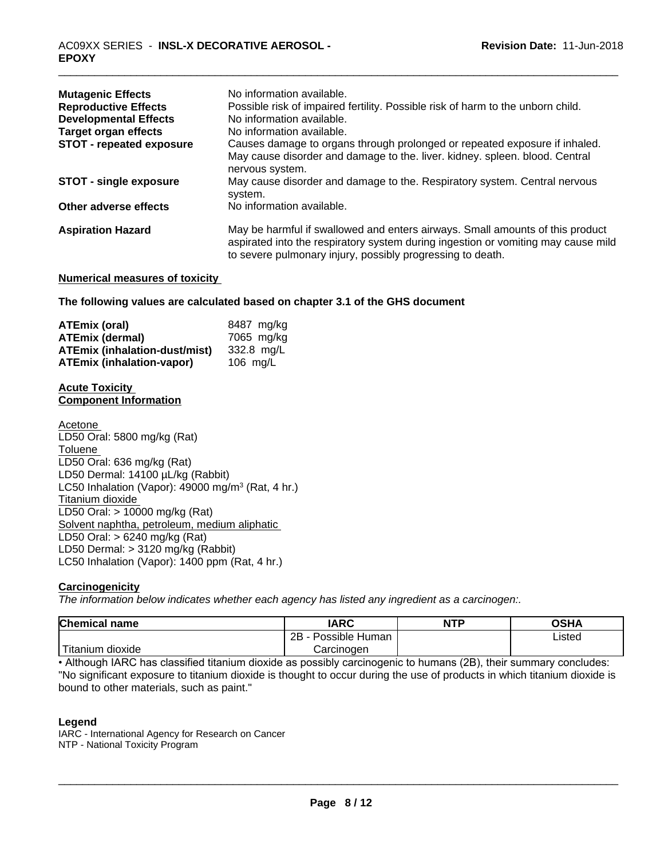| <b>Mutagenic Effects</b>        | No information available.                                                                                                                                                                                                        |
|---------------------------------|----------------------------------------------------------------------------------------------------------------------------------------------------------------------------------------------------------------------------------|
| <b>Reproductive Effects</b>     | Possible risk of impaired fertility. Possible risk of harm to the unborn child.                                                                                                                                                  |
| <b>Developmental Effects</b>    | No information available.                                                                                                                                                                                                        |
| <b>Target organ effects</b>     | No information available.                                                                                                                                                                                                        |
| <b>STOT - repeated exposure</b> | Causes damage to organs through prolonged or repeated exposure if inhaled.<br>May cause disorder and damage to the. liver. kidney. spleen. blood. Central<br>nervous system.                                                     |
| <b>STOT - single exposure</b>   | May cause disorder and damage to the. Respiratory system. Central nervous<br>system.                                                                                                                                             |
| Other adverse effects           | No information available.                                                                                                                                                                                                        |
| <b>Aspiration Hazard</b>        | May be harmful if swallowed and enters airways. Small amounts of this product<br>aspirated into the respiratory system during ingestion or vomiting may cause mild<br>to severe pulmonary injury, possibly progressing to death. |

#### **Numerical measures of toxicity**

**The following values are calculated based on chapter 3.1 of the GHS document**

| ATEmix (oral)                    | 8487 mg/ka |
|----------------------------------|------------|
| <b>ATEmix (dermal)</b>           | 7065 mg/kg |
| ATEmix (inhalation-dust/mist)    | 332.8 mg/L |
| <b>ATEmix (inhalation-vapor)</b> | 106 ma/L   |

#### **Acute Toxicity Component Information**

Acetone LD50 Oral: 5800 mg/kg (Rat) **Toluene** LD50 Oral: 636 mg/kg (Rat) LD50 Dermal: 14100 µL/kg (Rabbit) LC50 Inhalation (Vapor): 49000 mg/m<sup>3</sup> (Rat, 4 hr.) Titanium dioxide LD50 Oral: > 10000 mg/kg (Rat) Solvent naphtha, petroleum, medium aliphatic LD50 Oral: > 6240 mg/kg (Rat) LD50 Dermal: > 3120 mg/kg (Rabbit) LC50 Inhalation (Vapor): 1400 ppm (Rat, 4 hr.)

#### **Carcinogenicity**

*The information below indicateswhether each agency has listed any ingredient as a carcinogen:.*

| <b>Chemical name</b> | <b>IARC</b>               | <b>NTP</b> | OSHA   |
|----------------------|---------------------------|------------|--------|
|                      | .<br>2B<br>Possible Human |            | Listed |
| Titanium<br>dioxide  | Carcinogen                |            |        |

• Although IARC has classified titanium dioxide as possibly carcinogenic to humans (2B), their summary concludes: "No significant exposure to titanium dioxide is thought to occur during the use of products in which titanium dioxide is bound to other materials, such as paint."

#### **Legend**

IARC - International Agency for Research on Cancer NTP - National Toxicity Program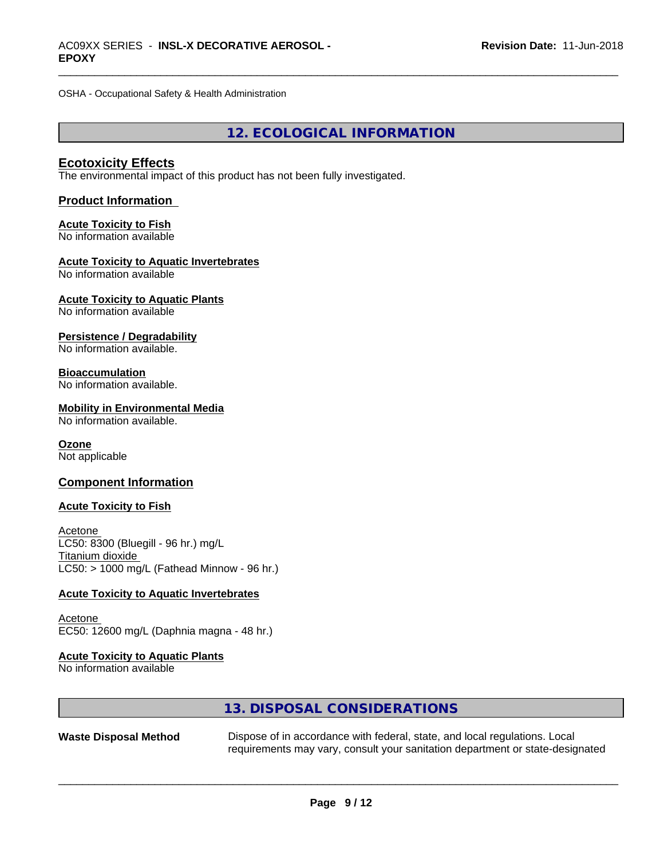OSHA - Occupational Safety & Health Administration

# **12. ECOLOGICAL INFORMATION**

#### **Ecotoxicity Effects**

The environmental impact of this product has not been fully investigated.

#### **Product Information**

#### **Acute Toxicity to Fish** No information available

#### **Acute Toxicity to Aquatic Invertebrates** No information available

**Acute Toxicity to Aquatic Plants** No information available

**Persistence / Degradability** No information available.

# **Bioaccumulation**

No information available.

#### **Mobility in Environmental Media**

No information available.

# **Ozone**

Not applicable

#### **Component Information**

#### **Acute Toxicity to Fish**

Acetone LC50: 8300 (Bluegill - 96 hr.) mg/L Titanium dioxide  $LC50:$  > 1000 mg/L (Fathead Minnow - 96 hr.)

#### **Acute Toxicity to Aquatic Invertebrates**

Acetone EC50: 12600 mg/L (Daphnia magna - 48 hr.)

# **Acute Toxicity to Aquatic Plants**

No information available

# **13. DISPOSAL CONSIDERATIONS**

| Waste Disposal Method | Dispose of in accordance with federal, state, and local regulations. Local    |
|-----------------------|-------------------------------------------------------------------------------|
|                       | requirements may vary, consult your sanitation department or state-designated |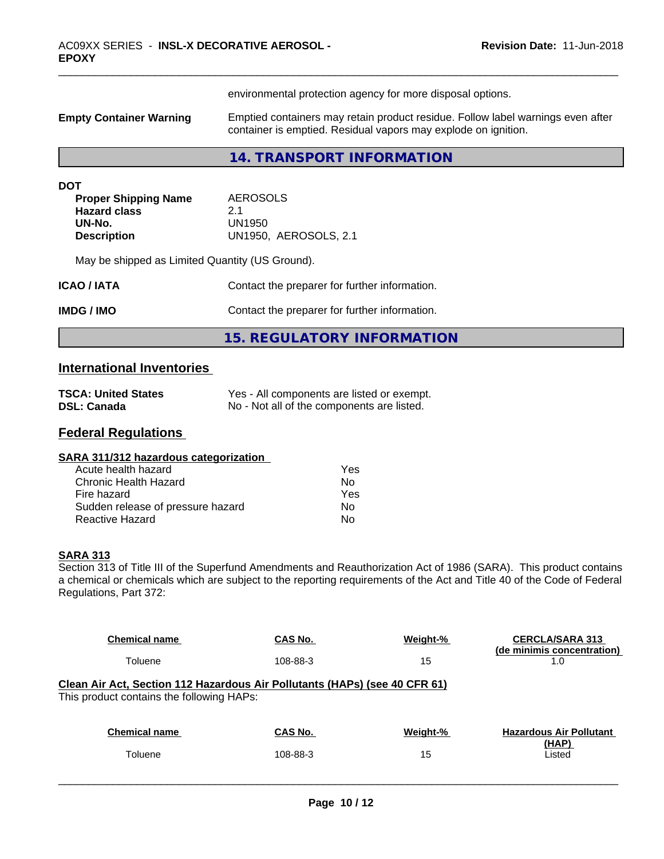| <b>Empty Container Warning</b>                                                                   | environmental protection agency for more disposal options.<br>Emptied containers may retain product residue. Follow label warnings even after<br>container is emptied. Residual vapors may explode on ignition. |
|--------------------------------------------------------------------------------------------------|-----------------------------------------------------------------------------------------------------------------------------------------------------------------------------------------------------------------|
|                                                                                                  |                                                                                                                                                                                                                 |
|                                                                                                  | 14. TRANSPORT INFORMATION                                                                                                                                                                                       |
| <b>DOT</b><br><b>Proper Shipping Name</b><br><b>Hazard class</b><br>UN-No.<br><b>Description</b> | <b>AEROSOLS</b><br>2.1<br>UN1950<br>UN1950, AEROSOLS, 2.1                                                                                                                                                       |
| May be shipped as Limited Quantity (US Ground).                                                  |                                                                                                                                                                                                                 |
| ICAO / IATA                                                                                      | Contact the preparer for further information.                                                                                                                                                                   |
| <b>IMDG/IMO</b>                                                                                  | Contact the preparer for further information.                                                                                                                                                                   |
|                                                                                                  | <b>15. REGULATORY INFORMATION</b>                                                                                                                                                                               |

# **International Inventories**

| <b>TSCA: United States</b> | Yes - All components are listed or exempt. |
|----------------------------|--------------------------------------------|
| <b>DSL: Canada</b>         | No - Not all of the components are listed. |

# **Federal Regulations**

| SARA 311/312 hazardous categorization |     |  |
|---------------------------------------|-----|--|
| Acute health hazard                   | Yes |  |
| Chronic Health Hazard                 | N٥  |  |

| -----------------------           |     |
|-----------------------------------|-----|
| Fire hazard                       | Yes |
| Sudden release of pressure hazard | No. |
| Reactive Hazard                   | No  |
|                                   |     |

#### **SARA 313**

Section 313 of Title III of the Superfund Amendments and Reauthorization Act of 1986 (SARA). This product contains a chemical or chemicals which are subject to the reporting requirements of the Act and Title 40 of the Code of Federal Regulations, Part 372:

| <b>Chemical name</b>                                                                                                    | CAS No.  | Weight-% | <b>CERCLA/SARA 313</b><br>(de minimis concentration) |
|-------------------------------------------------------------------------------------------------------------------------|----------|----------|------------------------------------------------------|
| Toluene                                                                                                                 | 108-88-3 | 15       | 1.0                                                  |
| Clean Air Act, Section 112 Hazardous Air Pollutants (HAPs) (see 40 CFR 61)<br>This product contains the following HAPs: |          |          |                                                      |
| <b>Chemical name</b>                                                                                                    | CAS No.  | Weight-% | <b>Hazardous Air Pollutant</b>                       |
| Toluene                                                                                                                 | 108-88-3 | 15       | (HAP)<br>Listed                                      |
|                                                                                                                         |          |          |                                                      |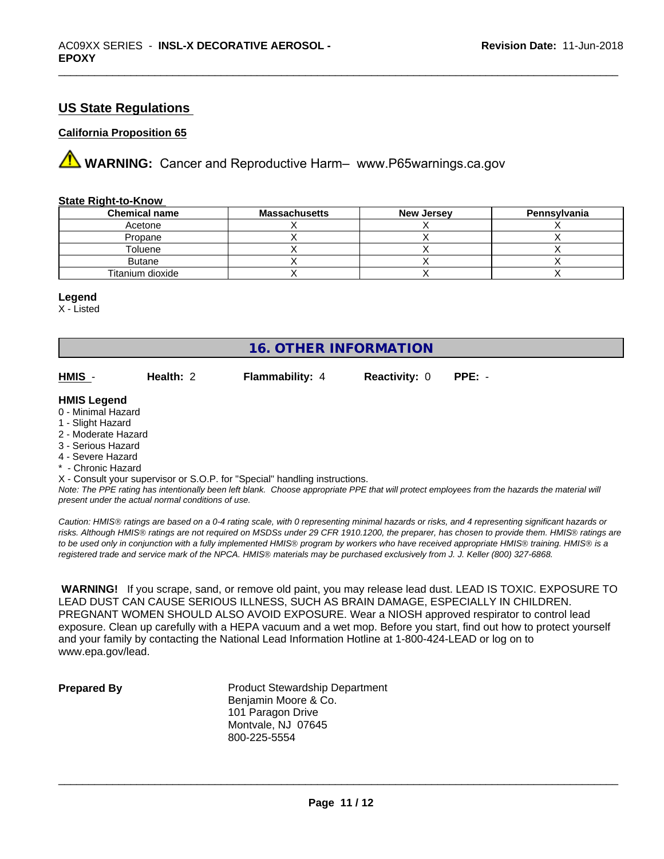# **US State Regulations**

#### **California Proposition 65**

**A** WARNING: Cancer and Reproductive Harm– www.P65warnings.ca.gov

#### **State Right-to-Know**

| <b>Chemical name</b> | <b>Massachusetts</b> | <b>New Jersey</b> | Pennsylvania |
|----------------------|----------------------|-------------------|--------------|
| Acetone              |                      |                   |              |
| Propane              |                      |                   |              |
| Toluene              |                      |                   |              |
| <b>Butane</b>        |                      |                   |              |
| Titanium dioxide     |                      |                   |              |

#### **Legend**

X - Listed

# **16. OTHER INFORMATION**

**HMIS** - **Health:** 2 **Flammability:** 4 **Reactivity:** 0 **PPE:** -

#### **HMIS Legend**

- 0 Minimal Hazard
- 1 Slight Hazard
- 2 Moderate Hazard
- 3 Serious Hazard
- 4 Severe Hazard
- **Chronic Hazard**
- X Consult your supervisor or S.O.P. for "Special" handling instructions.

*Note: The PPE rating has intentionally been left blank. Choose appropriate PPE that will protect employees from the hazards the material will present under the actual normal conditions of use.*

*Caution: HMISÒ ratings are based on a 0-4 rating scale, with 0 representing minimal hazards or risks, and 4 representing significant hazards or risks. Although HMISÒ ratings are not required on MSDSs under 29 CFR 1910.1200, the preparer, has chosen to provide them. HMISÒ ratings are to be used only in conjunction with a fully implemented HMISÒ program by workers who have received appropriate HMISÒ training. HMISÒ is a registered trade and service mark of the NPCA. HMISÒ materials may be purchased exclusively from J. J. Keller (800) 327-6868.*

 **WARNING!** If you scrape, sand, or remove old paint, you may release lead dust. LEAD IS TOXIC. EXPOSURE TO LEAD DUST CAN CAUSE SERIOUS ILLNESS, SUCH AS BRAIN DAMAGE, ESPECIALLY IN CHILDREN. PREGNANT WOMEN SHOULD ALSO AVOID EXPOSURE. Wear a NIOSH approved respirator to control lead exposure. Clean up carefully with a HEPA vacuum and a wet mop. Before you start, find out how to protect yourself and your family by contacting the National Lead Information Hotline at 1-800-424-LEAD or log on to www.epa.gov/lead.

**Prepared By** Product Stewardship Department Benjamin Moore & Co. 101 Paragon Drive Montvale, NJ 07645 800-225-5554